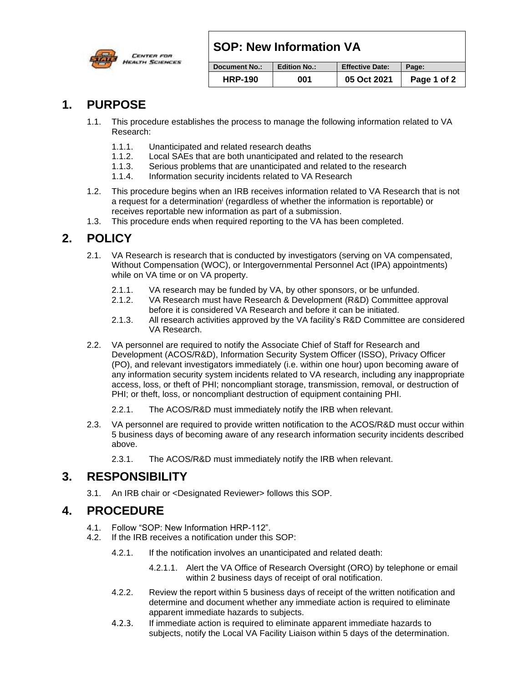## **SOP: New Information VA**



#### **Document No.: Edition No.: Effective Date: Page: HRP-190 001 05 Oct 2021 Page 1 of 2**

#### **1. PURPOSE**

- 1.1. This procedure establishes the process to manage the following information related to VA Research:
	- 1.1.1. Unanticipated and related research deaths
	- 1.1.2. Local SAEs that are both unanticipated and related to the research
	- 1.1.3. Serious problems that are unanticipated and related to the research
	- 1.1.4. Information security incidents related to VA Research
- 1.2. This procedure begins when an IRB receives information related to VA Research that is not a request for a determination<sup>i</sup> (regardless of whether the information is reportable) or receives reportable new information as part of a submission.
- 1.3. This procedure ends when required reporting to the VA has been completed.

# **2. POLICY**

- 2.1. VA Research is research that is conducted by investigators (serving on VA compensated, Without Compensation (WOC), or Intergovernmental Personnel Act (IPA) appointments) while on VA time or on VA property.
	- 2.1.1. VA research may be funded by VA, by other sponsors, or be unfunded.
	- 2.1.2. VA Research must have Research & Development (R&D) Committee approval before it is considered VA Research and before it can be initiated.
	- 2.1.3. All research activities approved by the VA facility's R&D Committee are considered VA Research.
- 2.2. VA personnel are required to notify the Associate Chief of Staff for Research and Development (ACOS/R&D), Information Security System Officer (ISSO), Privacy Officer (PO), and relevant investigators immediately (i.e. within one hour) upon becoming aware of any information security system incidents related to VA research, including any inappropriate access, loss, or theft of PHI; noncompliant storage, transmission, removal, or destruction of PHI; or theft, loss, or noncompliant destruction of equipment containing PHI.
	- 2.2.1. The ACOS/R&D must immediately notify the IRB when relevant.
- 2.3. VA personnel are required to provide written notification to the ACOS/R&D must occur within 5 business days of becoming aware of any research information security incidents described above.
	- 2.3.1. The ACOS/R&D must immediately notify the IRB when relevant.

#### **3. RESPONSIBILITY**

3.1. An IRB chair or <Designated Reviewer> follows this SOP.

## **4. PROCEDURE**

- 4.1. Follow "SOP: New Information HRP-112".
- 4.2. If the IRB receives a notification under this SOP:
	- 4.2.1. If the notification involves an unanticipated and related death:
		- 4.2.1.1. Alert the VA Office of Research Oversight (ORO) by telephone or email within 2 business days of receipt of oral notification.
	- 4.2.2. Review the report within 5 business days of receipt of the written notification and determine and document whether any immediate action is required to eliminate apparent immediate hazards to subjects.
	- 4.2.3. If immediate action is required to eliminate apparent immediate hazards to subjects, notify the Local VA Facility Liaison within 5 days of the determination.